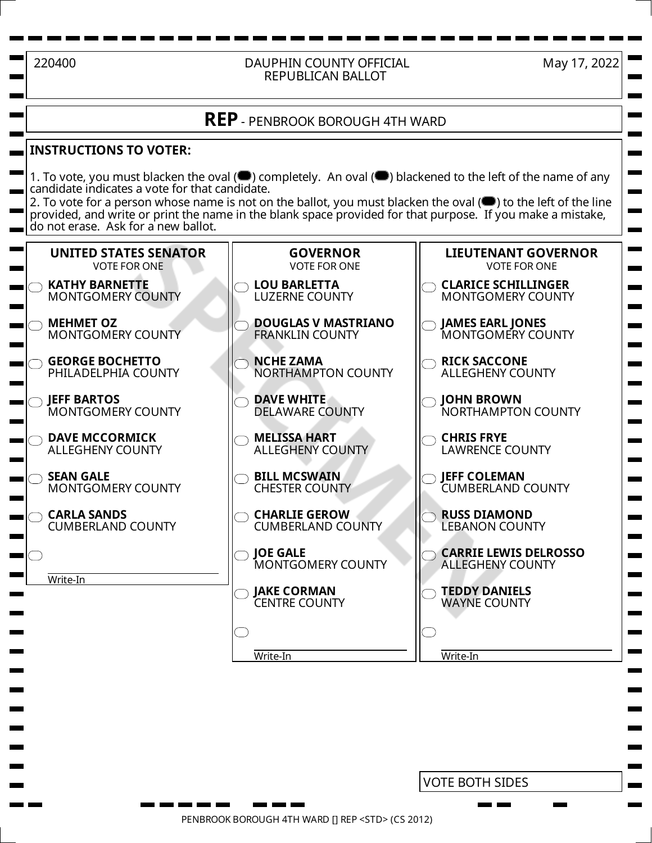## 220400 DAUPHIN COUNTY OFFICIAL REPUBLICAN BALLOT

May 17, 2022

## **REP**- PENBROOK BOROUGH 4TH WARD

## **INSTRUCTIONS TO VOTER:**

1. To vote, you must blacken the oval ( $\blacksquare$ ) completely. An oval ( $\blacksquare$ ) blackened to the left of the name of any candidate indicates a vote for that candidate.

2. To vote for a person whose name is not on the ballot, you must blacken the oval  $($ **)** to the left of the line provided, and write or print the name in the blank space provided for that purpose. If you make a mistake, do not erase. Ask for a new ballot.